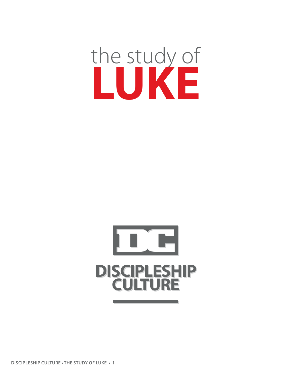# the study of **LUKE**

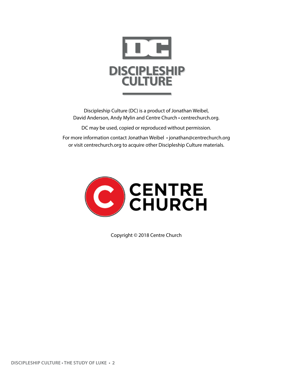

Discipleship Culture (DC) is a product of Jonathan Weibel, David Anderson, Andy Mylin and Centre Church • centrechurch.org.

DC may be used, copied or reproduced without permission.

For more information contact Jonathan Weibel • jonathan@centrechurch.org or visit centrechurch.org to acquire other Discipleship Culture materials.



Copyright © 2018 Centre Church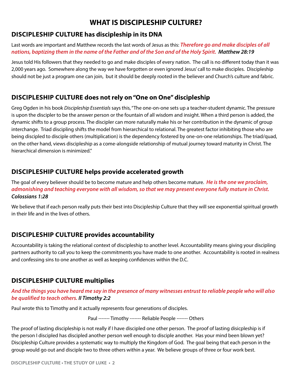### **WHAT IS DISCIPLESHIP CULTURE?**

### **Discipleship Culture has discipleship in its DNA**

Last words are important and Matthew records the last words of Jesus as this: *Therefore go and make disciples of all nations, baptizing them in the name of the Father and of the Son and of the Holy Spirit. Matthew 28:19*

Jesus told His followers that they needed to go and make disciples of every nation. The call is no different today than it was 2,000 years ago. Somewhere along the way we have forgotten or even ignored Jesus' call to make disciples. Discipleship should not be just a program one can join, but it should be deeply rooted in the believer and Church's culture and fabric.

### **Discipleship Culture does not rely on "One on One" discipleship**

Greg Ogden in his book *Discipleship Essentials* says this, "The one-on-one sets up a teacher-student dynamic. The pressure is upon the discipler to be the answer person or the fountain of all wisdom and insight. When a third person is added, the dynamic shifts to a group process. The discipler can more naturally make his or her contribution in the dynamic of group interchange. Triad discipling shifts the model from hierarchical to relational. The greatest factor inhibiting those who are being discipled to disciple others (multiplication) is the dependency fostered by one-on-one relationships. The triad/quad, on the other hand, views discipleship as a come-alongside relationship of mutual journey toward maturity in Christ. The hierarchical dimension is minimized."

### **Discipleship Culture helps provide accelerated growth**

The goal of every believer should be to become mature and help others become mature. *He is the one we proclaim, admonishing and teaching everyone with all wisdom, so that we may present everyone fully mature in Christ. Colossians 1:28*

We believe that if each person really puts their best into Discipleship Culture that they will see exponential spiritual growth in their life and in the lives of others.

### **Discipleship Culture provides accountability**

Accountability is taking the relational context of discipleship to another level. Accountability means giving your discipling partners authority to call you to keep the commitments you have made to one another. Accountability is rooted in realness and confessing sins to one another as well as keeping confidences within the D.C.

### **Discipleship Culture multiplies**

### *And the things you have heard me say in the presence of many witnesses entrust to reliable people who will also be qualified to teach others. II Timothy 2:2*

Paul wrote this to Timothy and it actually represents four generations of disciples.

Paul ------- Timothy ------- Reliable People ------- Others

The proof of lasting discipleship is not really if I have discipled one other person. The proof of lasting disicpleship is if the person I discipled has discipled another person well enough to disciple another. Has your mind been blown yet? Discipleship Culture provides a systematic way to multiply the Kingdom of God. The goal being that each person in the group would go out and disciple two to three others within a year. We believe groups of three or four work best.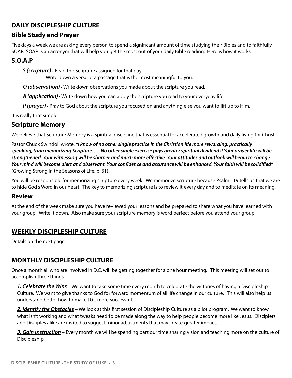### **DAILY DISCIPLESHIP CULTURE**

### **Bible Study and Prayer**

Five days a week we are asking every person to spend a significant amount of time studying their Bibles and to faithfully SOAP. SOAP is an acronym that will help you get the most out of your daily Bible reading. Here is how it works.

### **S.O.A.P**

*S (scripture)* • Read the Scripture assigned for that day.

Write down a verse or a passage that is the most meaningful to you.

*O (observation)* • Write down observations you made about the scripture you read.

*A (application)* • Write down how you can apply the scripture you read to your everyday life.

*P (prayer)* • Pray to God about the scripture you focused on and anything else you want to lift up to Him.

It is really that simple.

### **Scripture Memory**

We believe that Scripture Memory is a spiritual discipline that is essential for accelerated growth and daily living for Christ.

Pastor Chuck Swindoll wrote, *"I know of no other single practice in the Christian life more rewarding, practically speaking, than memorizing Scripture. . . . No other single exercise pays greater spiritual dividends! Your prayer life will be strengthened. Your witnessing will be sharper and much more effective. Your attitudes and outlook will begin to change. Your mind will become alert and observant. Your confidence and assurance will be enhanced. Your faith will be solidified"* (Growing Strong in the Seasons of Life, p. 61).

You will be responsible for memorizing scripture every week. We memorize scripture because Psalm 119 tells us that we are to hide God's Word in our heart. The key to memorizing scripture is to review it every day and to meditate on its meaning.

### **Review**

At the end of the week make sure you have reviewed your lessons and be prepared to share what you have learned with your group. Write it down. Also make sure your scripture memory is word perfect before you attend your group.

### **Weekly DISCIPLESHIP CULTURE**

Details on the next page.

### **Monthly DISCIPLESHIP CULTURE**

Once a month all who are involved in D.C. will be getting together for a one hour meeting. This meeting will set out to accomplish three things.

*1. Celebrate the Wins* – We want to take some time every month to celebrate the victories of having a Discipleship Culture. We want to give thanks to God for forward momentum of all life change in our culture. This will also help us understand better how to make D.C. more successful.

*2. Identify the Obstacles* – We look at this first session of Discipleship Culture as a pilot program. We want to know what isn't working and what tweaks need to be made along the way to help people become more like Jesus. Disciplers and Disciples alike are invited to suggest minor adjustments that may create greater impact.

*3. Gain Instruction* – Every month we will be spending part our time sharing vision and teaching more on the culture of Discipleship.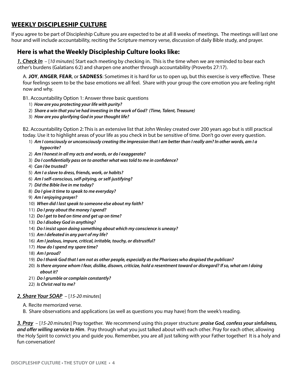### **Weekly DISCIPLESHIP CULTURE**

If you agree to be part of Discipleship Culture you are expected to be at all 8 weeks of meetings. The meetings will last one hour and will include accountability, reciting the Scripture memory verse, discussion of daily Bible study, and prayer.

### **Here is what the Weekly Discipleship Culture looks like:**

*1. Check In* – [*10 minutes*] Start each meeting by checking in. This is the time when we are reminded to bear each other's burdens (Galatians 6:2) and sharpen one another through accountability (Proverbs 27:17).

A. **Joy**, **Anger**, **Fear**, or **Sadness**: Sometimes it is hard for us to open up, but this exercise is very effective. These four feelings seem to be the base emotions we all feel. Share with your group the core emotion you are feeling right now and why.

- B1. Accountability Option 1: Answer three basic questions
	- 1) *How are you protecting your life with purity?*
	- 2) *Share a win that you've had investing in the work of God? (Time, Talent, Treasure)*
	- 3) *How are you glorifying God in your thought life?*

B2. Accountability Option 2: This is an extensive list that John Wesley created over 200 years ago but is still practical today. Use it to highlight areas of your life as you check in but be sensitive of time. Don't go over every question.

- 1) *Am I consciously or unconsciously creating the impression that I am better than I really am? In other words, am I a hypocrite?*
- 2) *Am I honest in all my acts and words, or do I exaggerate?*
- 3) *Do I confidentially pass on to another what was told to me in confidence?*
- 4) *Can I be trusted?*
- 5) *Am I a slave to dress, friends, work, or habits?*
- 6) *Am I self-conscious, self-pitying, or self-justifying?*
- 7) *Did the Bible live in me today?*
- 8) *Do I give it time to speak to me everyday?*
- 9) *Am I enjoying prayer?*
- 10) *When did I last speak to someone else about my faith?*
- 11) *Do I pray about the money I spend?*
- 12) *Do I get to bed on time and get up on time?*
- 13) *Do I disobey God in anything?*
- 14) *Do I insist upon doing something about which my conscience is uneasy?*
- 15) *Am I defeated in any part of my life?*
- 16) *Am I jealous, impure, critical, irritable, touchy, or distrustful?*
- 17) *How do I spend my spare time?*
- 18) *Am I proud?*
- 19) *Do I thank God that I am not as other people, especially as the Pharisees who despised the publican?*
- 20) *Is there anyone whom I fear, dislike, disown, criticize, hold a resentment toward or disregard? If so, what am I doing about it?*
- 21) *Do I grumble or complain constantly?*
- 22) *Is Christ real to me?*

#### *2. Share Your SOAP* – [*15-20 minutes*]

- A. Recite memorized verse.
- B. Share observations and applications (as well as questions you may have) from the week's reading.

*3. Pray* – [*15-20 minutes*] Pray together. We recommend using this prayer structure: *praise God, confess your sinfulness, and offer willing service to Him*. Pray through what you just talked about with each other. Pray for each other, allowing the Holy Spirit to convict you and guide you. Remember, you are all just talking with your Father together! It is a holy and fun conversation!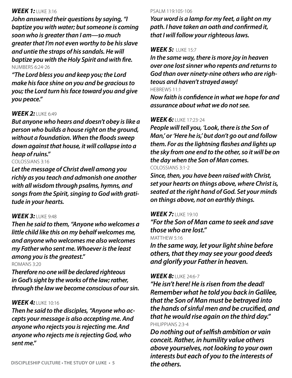### *WEEK 1:* Luke 3:16

*John answered their questions by saying, "I baptize you with water; but someone is coming soon who is greater than I am—so much greater that I'm not even worthy to be his slave and untie the straps of his sandals. He will baptize you with the Holy Spirit and with fire.* Numbers 6:24-26

*"The Lord bless you and keep you; the Lord make his face shine on you and be gracious to you; the Lord turn his face toward you and give you peace."*

### **WEEK 2: LUKE 6:49**

*But anyone who hears and doesn't obey is like a person who builds a house right on the ground, without a foundation. When the floods sweep down against that house, it will collapse into a heap of ruins."*

#### Colossians 3:16

*Let the message of Christ dwell among you richly as you teach and admonish one another with all wisdom through psalms, hymns, and songs from the Spirit, singing to God with gratitude in your hearts.*

### *WEEK 3:* Luke 9:48

*Then he said to them, "Anyone who welcomes a little child like this on my behalf welcomes me, and anyone who welcomes me also welcomes my Father who sent me. Whoever is the least among you is the greatest."*

Romans 3:20

*Therefore no one will be declared righteous in God's sight by the works of the law; rather, through the law we become conscious of our sin.*

#### **WEEK 4: LUKE 10:16**

*Then he said to the disciples, "Anyone who accepts your message is also accepting me. And anyone who rejects you is rejecting me. And anyone who rejects me is rejecting God, who sent me."*

*Your word is a lamp for my feet, a light on my path. I have taken an oath and confirmed it, that I will follow your righteous laws.* 

#### *WEEK 5:* Luke 15:7

*In the same way, there is more joy in heaven over one lost sinner who repents and returns to God than over ninety-nine others who are righteous and haven't strayed away!* Hebrews 11:1

*Now faith is confidence in what we hope for and assurance about what we do not see.*

#### **WEEK 6: LUKE 17:23-24**

*People will tell you, 'Look, there is the Son of Man,' or 'Here he is,' but don't go out and follow them. For as the lightning flashes and lights up the sky from one end to the other, so it will be on the day when the Son of Man comes.* Colossians 3:1-2

*Since, then, you have been raised with Christ, set your hearts on things above, where Christ is, seated at the right hand of God. Set your minds on things above, not on earthly things.*

#### **WEEK 7: LUKE 19:10**

*"For the Son of Man came to seek and save those who are lost."*

#### MATTHEW 5:16

*In the same way, let your light shine before others, that they may see your good deeds and glorify your Father in heaven.*

#### *WEEK 8:* Luke 24:6-7

*"He isn't here! He is risen from the dead! Remember what he told you back in Galilee, that the Son of Man must be betrayed into the hands of sinful men and be crucified, and that he would rise again on the third day."*  Philippians 2:3-4

*Do nothing out of selfish ambition or vain conceit. Rather, in humility value others above yourselves, not looking to your own interests but each of you to the interests of the others.*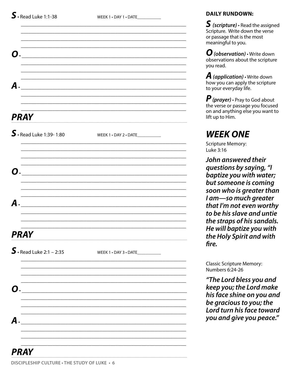WEEK 1 . DAY 1 . DATE\_

| WEEK 1 . DAY 2 . DATE             |
|-----------------------------------|
|                                   |
|                                   |
|                                   |
|                                   |
|                                   |
|                                   |
|                                   |
|                                   |
|                                   |
|                                   |
| WEEK 1 . DAY 3 . DATE____________ |
|                                   |
|                                   |
|                                   |
|                                   |
|                                   |
|                                   |
|                                   |
|                                   |
|                                   |

### **DAILY RUNDOWN:**

 $\boldsymbol{S}$  (scripture)  $\boldsymbol{\cdot}$  Read the assigned Scripture. Write down the verse or passage that is the most meaningful to you.

 $\boldsymbol{O}$  (observation)  $\cdot$  Write down observations about the scripture vou read.

**A** (application)  $\cdot$  Write down how you can apply the scripture to your everyday life.

 $\boldsymbol{P}$  (prayer)  $\cdot$  Pray to God about the verse or passage you focused on and anything else you want to lift up to Him.

## **WEEK ONE**

**Scripture Memory:** Luke 3:16

John answered their questions by saying, "I baptize you with water; but someone is coming soon who is greater than I am-so much greater that I'm not even worthy to be his slave and untie the straps of his sandals. He will baptize you with the Holy Spirit and with fire.

**Classic Scripture Memory:** Numbers 6:24-26

"The Lord bless you and keep you; the Lord make his face shine on you and be gracious to you; the Lord turn his face toward you and give you peace."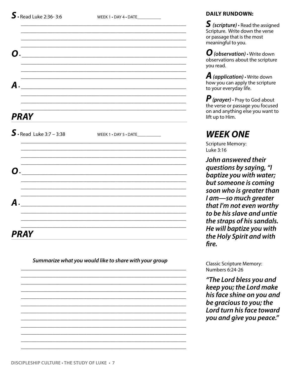WEEK  $1 \cdot$  DAY  $4 \cdot$  DATE

| WEEK 1 . DAY 5 . DATE____________               |
|-------------------------------------------------|
|                                                 |
|                                                 |
| the contract of the contract of the contract of |
|                                                 |
|                                                 |
|                                                 |
|                                                 |
|                                                 |
|                                                 |
|                                                 |

Summarize what you would like to share with your group

#### **DAILY RUNDOWN:**

 $\boldsymbol{S}$  (scripture)  $\boldsymbol{\cdot}$  Read the assigned Scripture. Write down the verse or passage that is the most meaningful to you.

 $\boldsymbol{O}$  (observation)  $\cdot$  Write down observations about the scripture vou read.

**A** (application)  $\cdot$  Write down how you can apply the scripture to your everyday life.

 $\boldsymbol{P}$  (prayer)  $\cdot$  Pray to God about the verse or passage you focused on and anything else you want to lift up to Him.

### **WEEK ONE**

**Scripture Memory:** Luke 3:16

John answered their questions by saying, "I baptize you with water; but someone is coming soon who is greater than I am-so much greater that I'm not even worthy to be his slave and untie the straps of his sandals. He will baptize you with the Holy Spirit and with fire.

**Classic Scripture Memory:** Numbers 6:24-26

"The Lord bless you and keep you; the Lord make his face shine on you and be gracious to you; the Lord turn his face toward you and give you peace."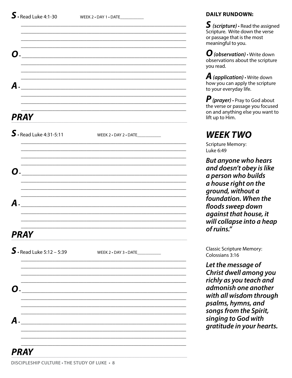| <b>O.</b>          |                                             |                                   |  |
|--------------------|---------------------------------------------|-----------------------------------|--|
|                    |                                             |                                   |  |
| $\boldsymbol{A}$ . |                                             |                                   |  |
|                    |                                             |                                   |  |
|                    | <b>PRAY</b>                                 |                                   |  |
|                    | $S.$ Read Luke 4:31-5:11                    | WEEK 2 . DAY 2 . DATE____________ |  |
|                    |                                             |                                   |  |
| О.                 |                                             |                                   |  |
|                    |                                             |                                   |  |
| $\boldsymbol{A}$ . |                                             |                                   |  |
|                    |                                             |                                   |  |
|                    | <b>PRAY</b>                                 |                                   |  |
|                    | $S.$ Read Luke 5:12 - 5:39                  | WEEK 2 . DAY 3 . DATE____________ |  |
|                    |                                             |                                   |  |
| О.                 |                                             |                                   |  |
|                    |                                             |                                   |  |
| $\boldsymbol{A}$ . | <u> 1980 - Jan Samuel Barbara, martin d</u> |                                   |  |
|                    |                                             |                                   |  |
|                    |                                             |                                   |  |

 $S$  (scripture)  $\cdot$  Read the assigned Scripture. Write down the verse or passage that is the most meaningful to you.

 $\mathbf{U}$  (observation)  $\cdot$  Write down observations about the scripture you read.

**A** (application)  $\cdot$  Write down how you can apply the scripture to your everyday life.

**P** (prayer)  $\cdot$  Pray to God about the verse or passage you focused on and anything else you want to lift up to Him.

## **WEEK TWO**

**Scripture Memory:** Luke 6:49

**But anyone who hears** and doesn't obey is like a person who builds a house right on the ground, without a foundation. When the floods sweep down against that house, it will collapse into a heap of ruins."

**Classic Scripture Memory:** Colossians 3:16

Let the message of Christ dwell among you richly as you teach and admonish one another with all wisdom through psalms, hymns, and songs from the Spirit, singing to God with gratitude in your hearts.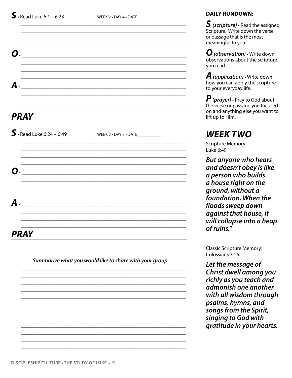WEEK 2 • DAY 4 • DATE

| О.                         | <u> 1980 - John Stein, Amerikaansk politiker (</u> |                                   |  |
|----------------------------|----------------------------------------------------|-----------------------------------|--|
|                            |                                                    |                                   |  |
| $\mathcal{A}$ .            |                                                    |                                   |  |
|                            |                                                    |                                   |  |
| <b>PRAY</b>                |                                                    |                                   |  |
| $S.$ Read Luke 6:24 – 6:49 |                                                    | WEEK 2 . DAY 5 . DATE____________ |  |
|                            |                                                    |                                   |  |
| $\mathbf{O}$ .             |                                                    |                                   |  |
| А.                         |                                                    |                                   |  |
|                            |                                                    |                                   |  |
| <b>PRAY</b>                |                                                    |                                   |  |

Summarize what you would like to share with your group

### **DAILY RUNDOWN:**

 $\boldsymbol{S}$  (scripture)  $\boldsymbol{\cdot}$  Read the assigned Scripture. Write down the verse or passage that is the most meaningful to you.

 $\boldsymbol{O}$  (observation)  $\cdot$  Write down observations about the scripture vou read.

**A** (application)  $\cdot$  Write down how you can apply the scripture to your everyday life.

 $\boldsymbol{P}$  (prayer)  $\cdot$  Pray to God about the verse or passage you focused on and anything else you want to lift up to Him.

### **WEEK TWO**

**Scripture Memory:** Luke 6:49

**But anyone who hears** and doesn't obey is like a person who builds a house right on the ground, without a foundation. When the floods sweep down against that house, it will collapse into a heap of ruins."

**Classic Scripture Memory:** Colossians 3:16

Let the message of Christ dwell among you richly as you teach and admonish one another with all wisdom through psalms, hymns, and songs from the Spirit, singing to God with gratitude in your hearts.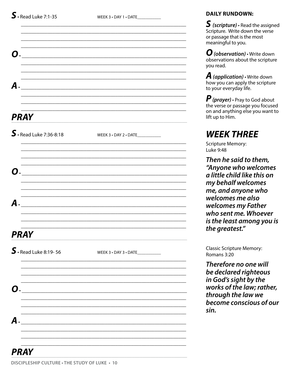| О.                       |                                   |
|--------------------------|-----------------------------------|
| <b>A</b> .               |                                   |
| <b>PRAY</b>              |                                   |
| $S.$ Read Luke 7:36-8:18 | WEEK 3 . DAY 2 . DATE             |
| О.                       |                                   |
| $\boldsymbol{A}$ .       |                                   |
| <b>PRAY</b>              |                                   |
| $S.$ Read Luke 8:19-56   | WEEK 3 . DAY 3 . DATE____________ |
| Ο.                       |                                   |
| А.                       |                                   |
|                          |                                   |

 $S$  (scripture)  $\cdot$  Read the assigned Scripture. Write down the verse or passage that is the most meaningful to you.

 $\boldsymbol{O}$  (observation)  $\cdot$  Write down observations about the scripture vou read.

**A** (application)  $\cdot$  Write down how you can apply the scripture to your everyday life.

 $\boldsymbol{P}$  (prayer)  $\cdot$  Pray to God about the verse or passage you focused on and anything else you want to lift up to Him.

### **WEEK THREE**

**Scripture Memory:** Luke 9:48

Then he said to them, "Anyone who welcomes a little child like this on my behalf welcomes me, and anyone who welcomes me also welcomes my Father who sent me. Whoever is the least among you is the greatest."

**Classic Scripture Memory:** Romans 3:20

Therefore no one will be declared righteous in God's sight by the works of the law; rather, through the law we become conscious of our sin.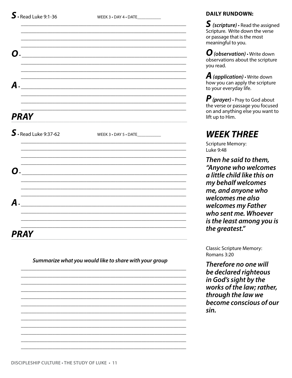| О.                     |                                   |
|------------------------|-----------------------------------|
|                        |                                   |
| А.                     |                                   |
| <b>PRAY</b>            |                                   |
| $S.$ Read Luke 9:37-62 | WEEK 3 . DAY 5 . DATE____________ |
|                        |                                   |
| $\mathbf{0}$ .         |                                   |
| А.                     |                                   |
| <b>PRAY</b>            |                                   |

Summarize what you would like to share with your group

### **DAILY RUNDOWN:**

 $\boldsymbol{S}$  (scripture)  $\boldsymbol{\cdot}$  Read the assigned Scripture. Write down the verse or passage that is the most meaningful to you.

 $\boldsymbol{O}$  (observation)  $\cdot$  Write down observations about the scripture vou read.

**A** (application)  $\cdot$  Write down how you can apply the scripture to your everyday life.

*P* (*prayer*) · Pray to God about<br>the verse or passage you focused on and anything else you want to lift up to Him.

### **WEEK THREE**

**Scripture Memory:** Luke 9:48

Then he said to them, "Anyone who welcomes a little child like this on my behalf welcomes me, and anyone who welcomes me also welcomes my Father who sent me. Whoever is the least among you is the greatest."

**Classic Scripture Memory:** Romans 3:20

Therefore no one will be declared righteous in God's sight by the works of the law; rather, through the law we become conscious of our sin.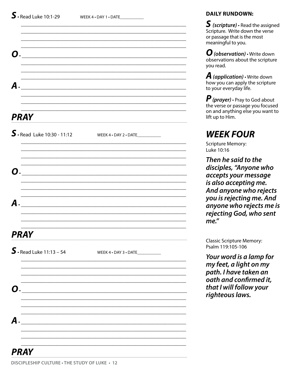| <b>O.</b>                                                                                                                                  |                       |
|--------------------------------------------------------------------------------------------------------------------------------------------|-----------------------|
| $\boldsymbol{A}$ .                                                                                                                         |                       |
| <b>PRAY</b>                                                                                                                                |                       |
| $S.$ Read Luke 10:30 - 11:12                                                                                                               | WEEK 4 . DAY 2 . DATE |
| O.                                                                                                                                         |                       |
| А.                                                                                                                                         |                       |
| <b>PRAY</b>                                                                                                                                |                       |
| $S.$ Read Luke 11:13 - 54                                                                                                                  | WEEK 4 . DAY 3 . DATE |
| О.                                                                                                                                         |                       |
| $\boldsymbol{A}$ .<br><u> 1980 - Jan Sterling von Berg, som ble starte av de starte av de starte av de starte av de starte av de start</u> |                       |
| <b>PRAY</b>                                                                                                                                |                       |

 $S$  (scripture)  $\cdot$  Read the assigned Scripture. Write down the verse or passage that is the most meaningful to you.

 $\boldsymbol{O}$  (observation)  $\cdot$  Write down observations about the scripture you read.

**A** (application)  $\cdot$  Write down how you can apply the scripture to your everyday life.

 $\boldsymbol{P}$  (prayer)  $\cdot$  Pray to God about the verse or passage you focused on and anything else you want to lift up to Him.

### **WEEK FOUR**

**Scripture Memory:** Luke 10:16

Then he said to the disciples, "Anyone who accepts your message is also accepting me. And anyone who rejects you is rejecting me. And anyone who rejects me is rejecting God, who sent me."

**Classic Scripture Memory:** Psalm 119:105-106

Your word is a lamp for my feet, a light on my path. I have taken an oath and confirmed it, that I will follow your righteous laws.

#### DISCIPLESHIP CULTURE . THE STUDY OF LUKE . 12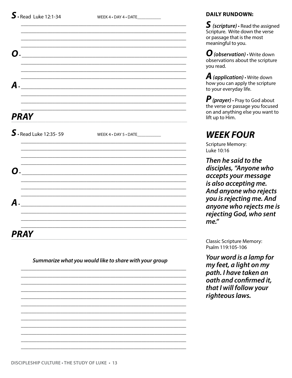| $\mathbf{O}$ .          |                                   |
|-------------------------|-----------------------------------|
|                         |                                   |
|                         |                                   |
| А.                      |                                   |
|                         |                                   |
|                         |                                   |
| <b>PRAY</b>             |                                   |
| $S.$ Read Luke 12:35-59 | WEEK 4 . DAY 5 . DATE____________ |
|                         |                                   |
|                         |                                   |
| О.                      |                                   |
|                         |                                   |
|                         |                                   |
| А.                      |                                   |
|                         |                                   |
|                         |                                   |
|                         |                                   |

Summarize what you would like to share with your group

#### **DAILY RUNDOWN:**

 $\boldsymbol{S}$  (scripture)  $\boldsymbol{\cdot}$  Read the assigned Scripture. Write down the verse or passage that is the most meaningful to you.

 $\boldsymbol{O}$  (observation)  $\cdot$  Write down observations about the scripture you read.

**A** (application)  $\cdot$  Write down how you can apply the scripture to your everyday life.

*P* (*prayer*) · Pray to God about<br>the verse or passage you focused on and anything else you want to lift up to Him.

## **WEEK FOUR**

**Scripture Memory:** Luke 10:16

Then he said to the disciples, "Anyone who accepts your message is also accepting me. And anyone who rejects you is rejecting me. And anyone who rejects me is rejecting God, who sent  $me''$ 

**Classic Scripture Memory:** Psalm 119:105-106

Your word is a lamp for my feet, a light on my path. I have taken an oath and confirmed it, that I will follow your righteous laws.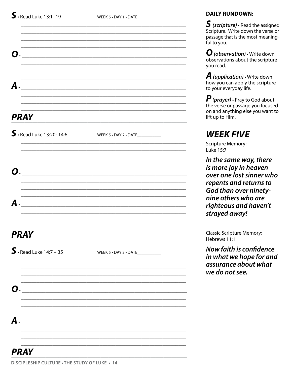WEEK 5 . DAY 1 . DATE

| О.                                                                                                        |                                   |
|-----------------------------------------------------------------------------------------------------------|-----------------------------------|
| $\boldsymbol{A}$ .                                                                                        |                                   |
| <b>PRAY</b>                                                                                               |                                   |
| $S.$ Read Luke 13:20-14:6                                                                                 | WEEK 5 . DAY 2 . DATE_            |
| О.                                                                                                        |                                   |
| А.                                                                                                        |                                   |
| <b>PRAY</b>                                                                                               |                                   |
| $S.$ Read Luke 14:7 - 35                                                                                  | WEEK 5 . DAY 3 . DATE____________ |
| О.                                                                                                        |                                   |
| А.<br><u> 2001 - Jan Samuel Alexandria (h. 1878).</u><br>1901 - Johann Barn, politik margolari (h. 1870). |                                   |
|                                                                                                           |                                   |

### **DAILY RUNDOWN:**

 $S$  (scripture)  $\cdot$  Read the assigned Scripture. Write down the verse or passage that is the most meaningful to you.

 $\boldsymbol{O}$  (observation)  $\cdot$  Write down observations about the scripture you read.

**A** (application)  $\cdot$  Write down how you can apply the scripture to your everyday life.

 $\boldsymbol{P}$  (prayer)  $\cdot$  Pray to God about the verse or passage you focused on and anything else you want to lift up to Him.

### **WEEK FIVE**

**Scripture Memory:** Luke 15:7

In the same way, there is more joy in heaven over one lost sinner who repents and returns to God than over ninetynine others who are righteous and haven't strayed away!

**Classic Scripture Memory:** Hebrews 11:1

**Now faith is confidence** in what we hope for and assurance about what we do not see.

### PRAY

DISCIPLESHIP CULTURE . THE STUDY OF LUKE . 14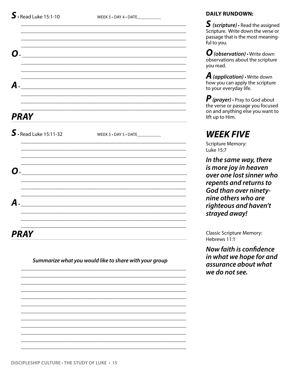| $\mathbf{O}$ . |                         |                                  |
|----------------|-------------------------|----------------------------------|
|                |                         |                                  |
|                |                         |                                  |
| А.             |                         |                                  |
|                |                         |                                  |
|                | <b>PRAY</b>             |                                  |
|                | $S.$ Read Luke 15:11-32 | WEEK 5 . DAY 5 . DATE___________ |
|                |                         |                                  |
|                | $\boldsymbol{O}$ .      |                                  |
|                |                         |                                  |
| А.             |                         |                                  |
|                |                         |                                  |
|                | <b>PRAY</b>             |                                  |

Summarize what you would like to share with your group

#### **DAILY RUNDOWN:**

 $S$  (scripture)  $\cdot$  Read the assigned Scripture. Write down the verse or passage that is the most meaningful to you.

 $\boldsymbol{O}$  (observation)  $\cdot$  Write down observations about the scripture vou read.

**A** (application)  $\cdot$  Write down how you can apply the scripture to your everyday life.

*P* (*prayer*) · Pray to God about<br>the verse or passage you focused on and anything else you want to lift up to Him.

## **WEEK FIVE**

**Scripture Memory:** Luke 15:7

In the same way, there is more joy in heaven over one lost sinner who repents and returns to God than over ninetynine others who are righteous and haven't strayed away!

**Classic Scripture Memory:** Hebrews 11:1

**Now faith is confidence** in what we hope for and assurance about what we do not see.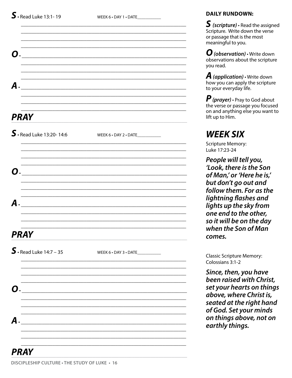WEEK 6 . DAY 1 . DATE\_

| А.                                                                                                                  |                                   |
|---------------------------------------------------------------------------------------------------------------------|-----------------------------------|
| <b>PRAY</b>                                                                                                         |                                   |
| $\mathsf{S}\cdot$ Read Luke 13:20-14:6                                                                              |                                   |
| O. —                                                                                                                |                                   |
| $\boldsymbol{A}$ .                                                                                                  |                                   |
| <b>PRAY</b>                                                                                                         |                                   |
| $S.$ Read Luke 14:7 - 35                                                                                            | WEEK 6 . DAY 3 . DATE____________ |
| O.<br><u> 2001 - 2002 - 2003 - 2004 - 2005 - 2006 - 2007 - 2008 - 2009 - 2009 - 2009 - 2009 - 2009 - 2009 - 200</u> |                                   |
| А.<br><u> 1980 - Jan Barnett, martin film eta industrial (h. 1980).</u>                                             |                                   |
|                                                                                                                     |                                   |

### **DAILY RUNDOWN:**

 $S$  (scripture)  $\cdot$  Read the assigned Scripture. Write down the verse or passage that is the most meaningful to you.

 $\boldsymbol{O}$  (observation)  $\cdot$  Write down observations about the scripture vou read.

**A** (application)  $\cdot$  Write down how you can apply the scripture to your everyday life.

 $\boldsymbol{P}$  (prayer)  $\cdot$  Pray to God about the verse or passage you focused on and anything else you want to lift up to Him.

### **WEEK SIX**

**Scripture Memory:** Luke 17:23-24

People will tell you, 'Look, there is the Son of Man,' or 'Here he is,' but don't go out and follow them. For as the lightning flashes and lights up the sky from one end to the other, so it will be on the day when the Son of Man comes.

**Classic Scripture Memory:** Colossians 3:1-2

Since, then, you have been raised with Christ, set your hearts on things above, where Christ is, seated at the right hand of God. Set your minds on things above, not on earthly things.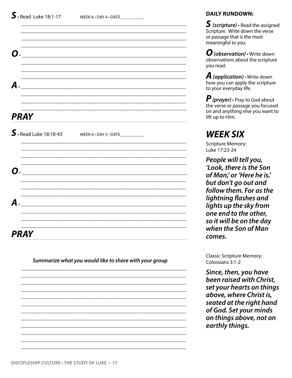| О.          |                                                 |  |
|-------------|-------------------------------------------------|--|
|             |                                                 |  |
|             |                                                 |  |
|             |                                                 |  |
| <b>PRAY</b> |                                                 |  |
|             | $\int$ Read Luke 18:18-43 WEEK 6 · DAY 5 · DATE |  |
|             |                                                 |  |
| О.          |                                                 |  |
|             |                                                 |  |
| А.          |                                                 |  |
|             |                                                 |  |
| <b>PRAY</b> |                                                 |  |

Summarize what you would like to share with your group

#### **DAILY RUNDOWN:**

 $\boldsymbol{S}$  (scripture)  $\boldsymbol{\cdot}$  Read the assigned Scripture. Write down the verse or passage that is the most meaningful to you.

 $\boldsymbol{O}$  (observation)  $\cdot$  Write down observations about the scripture vou read.

**A** (application)  $\cdot$  Write down how you can apply the scripture to your everyday life.

 $\boldsymbol{P}$  (prayer)  $\cdot$  Pray to God about the verse or passage you focused on and anything else you want to lift up to Him.

### **WEEK SIX**

**Scripture Memory:** Luke 17:23-24

People will tell you, 'Look, there is the Son of Man,' or 'Here he is,' but don't go out and follow them. For as the lightning flashes and lights up the sky from one end to the other, so it will be on the day when the Son of Man comes.

**Classic Scripture Memory:** Colossians 3:1-2

Since, then, you have been raised with Christ, set your hearts on things above, where Christ is, seated at the right hand of God. Set your minds on things above, not on earthly things.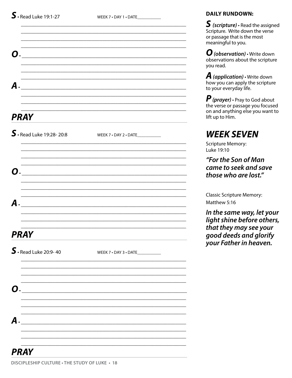| О.                                                                                                                          |                                   |  |
|-----------------------------------------------------------------------------------------------------------------------------|-----------------------------------|--|
| А.                                                                                                                          |                                   |  |
| <b>PRAY</b>                                                                                                                 |                                   |  |
| $S.$ Read Luke 19:28-20:8                                                                                                   | WEEK 7 . DAY 2 . DATE             |  |
| О.                                                                                                                          |                                   |  |
| А.                                                                                                                          |                                   |  |
| <b>PRAY</b>                                                                                                                 |                                   |  |
| $S.$ Read Luke 20:9-40                                                                                                      | WEEK 7 . DAY 3 . DATE____________ |  |
| О.                                                                                                                          |                                   |  |
| А.<br><u> 1989 - Johann Harry Harry Harry Harry Harry Harry Harry Harry Harry Harry Harry Harry Harry Harry Harry Harry</u> |                                   |  |
| <b>PRAY</b>                                                                                                                 |                                   |  |

 $S$  (scripture)  $\cdot$  Read the assigned Scripture. Write down the verse or passage that is the most meaningful to you.

 $\boldsymbol{O}$  (observation)  $\cdot$  Write down<br>observations about the scripture you read.

**A** (application)  $\cdot$  Write down how you can apply the scripture to your everyday life.

 $\bm{P}$  (prayer)  $\cdot$  Pray to God about the verse or passage you focused on and anything else you want to lift up to Him.

### **WEEK SEVEN**

**Scripture Memory:** Luke 19:10

"For the Son of Man came to seek and save those who are lost."

**Classic Scripture Memory:** Matthew 5:16

In the same way, let your light shine before others, that they may see your good deeds and glorify your Father in heaven.

DISCIPLESHIP CULTURE . THE STUDY OF LUKE . 18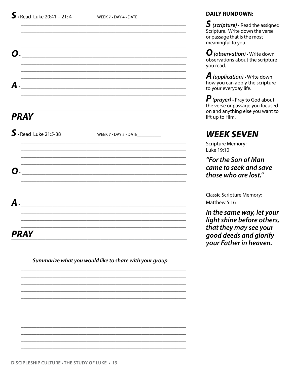WEEK 7 . DAY 4 . DATE

| <b>O</b> .             |                                   |  |
|------------------------|-----------------------------------|--|
|                        |                                   |  |
|                        |                                   |  |
| $\boldsymbol{A}$ .     |                                   |  |
|                        |                                   |  |
|                        |                                   |  |
| <b>PRAY</b>            |                                   |  |
| $S.$ Read Luke 21:5-38 | WEEK 7 . DAY 5 . DATE____________ |  |
|                        |                                   |  |
|                        |                                   |  |
| О.                     |                                   |  |
|                        |                                   |  |
|                        |                                   |  |
| $\boldsymbol{A}$ .     |                                   |  |
|                        |                                   |  |
|                        |                                   |  |
| <b>PRAY</b>            |                                   |  |

Summarize what you would like to share with your group

### **DAILY RUNDOWN:**

 $S$  (scripture)  $\cdot$  Read the assigned Scripture. Write down the verse or passage that is the most meaningful to you.

 $\boldsymbol{O}$  (observation)  $\cdot$  Write down<br>observations about the scripture you read.

**A** (application)  $\cdot$  Write down how you can apply the scripture to your everyday life.

 $\boldsymbol{P}$  (prayer)  $\cdot$  Pray to God about<br>the verse or passage you focused on and anything else you want to lift up to Him.

## **WEEK SEVEN**

**Scripture Memory:** Luke 19:10

"For the Son of Man came to seek and save those who are lost."

**Classic Scripture Memory:** Matthew 5:16

In the same way, let your light shine before others, that they may see your good deeds and glorify your Father in heaven.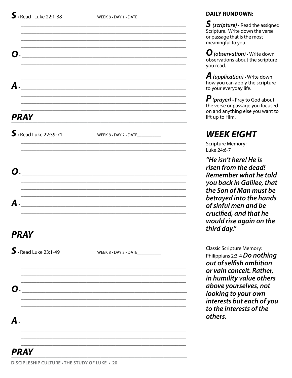| О.                                  |                                                         |
|-------------------------------------|---------------------------------------------------------|
| A.                                  |                                                         |
| <b>PRAY</b>                         |                                                         |
| $S.$ Read Luke 22:39-71             | WEEK 8 . DAY 2 . DATE____________                       |
| О.                                  |                                                         |
| $A$ .                               |                                                         |
| <b>PRAY</b>                         |                                                         |
| $\mathsf{S}\cdot$ Read Luke 23:1-49 | WEEK 8 . DAY 3 . DATE___________                        |
| О.                                  |                                                         |
| А.                                  | <u> 1989 - Johann Stein, marwolaethau a bhann an t-</u> |
|                                     |                                                         |

 $S$  (scripture)  $\cdot$  Read the assigned Scripture. Write down the verse or passage that is the most meaningful to you.

 $\boldsymbol{O}$  (observation)  $\cdot$  Write down observations about the scripture vou read.

**A** (application)  $\cdot$  Write down how you can apply the scripture to your everyday life.

 $\boldsymbol{P}$  (prayer)  $\cdot$  Pray to God about the verse or passage you focused on and anything else you want to lift up to Him.

### **WEEK EIGHT**

**Scripture Memory:** Luke 24:6-7

"He isn't here! He is risen from the dead! Remember what he told you back in Galilee, that the Son of Man must be betrayed into the hands of sinful men and be crucified, and that he would rise again on the third day."

**Classic Scripture Memory:** Philippians 2:3-4 Do nothing out of selfish ambition or vain conceit. Rather, in humility value others above yourselves, not looking to your own interests but each of you to the interests of the others.

### DISCIPLESHIP CULTURE . THE STUDY OF LUKE . 20